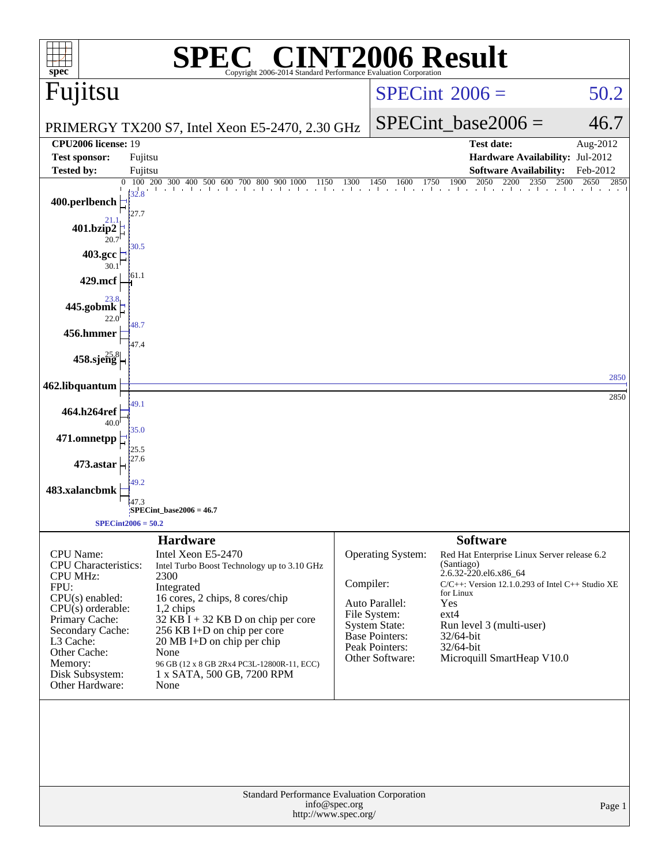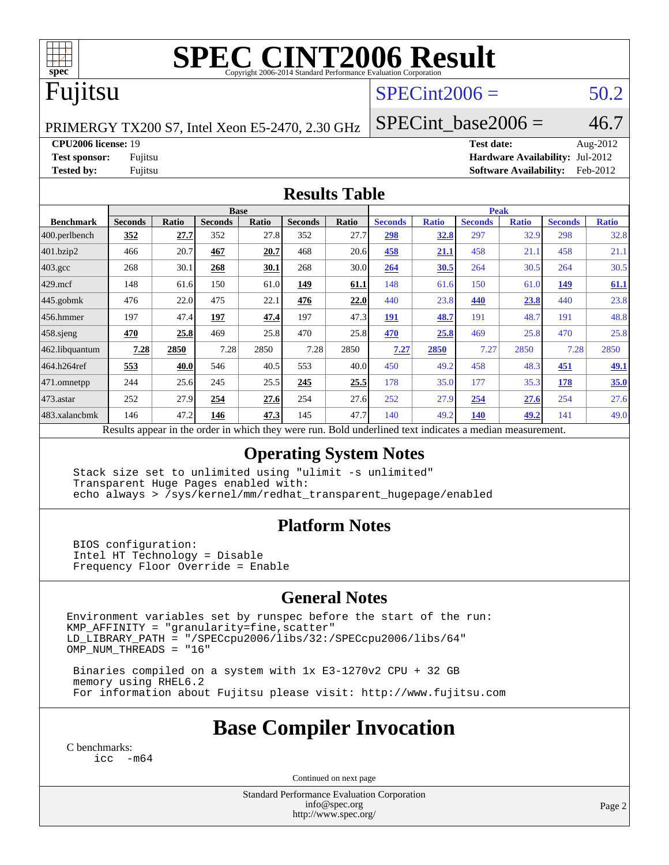

# **[SPEC CINT2006 Result](http://www.spec.org/auto/cpu2006/Docs/result-fields.html#SPECCINT2006Result)**

# Fujitsu

## $SPECint2006 = 50.2$  $SPECint2006 = 50.2$

PRIMERGY TX200 S7, Intel Xeon E5-2470, 2.30 GHz

SPECint base2006 =  $46.7$ 

**[CPU2006 license:](http://www.spec.org/auto/cpu2006/Docs/result-fields.html#CPU2006license)** 19 **[Test date:](http://www.spec.org/auto/cpu2006/Docs/result-fields.html#Testdate)** Aug-2012

**[Test sponsor:](http://www.spec.org/auto/cpu2006/Docs/result-fields.html#Testsponsor)** Fujitsu **[Hardware Availability:](http://www.spec.org/auto/cpu2006/Docs/result-fields.html#HardwareAvailability)** Jul-2012 **[Tested by:](http://www.spec.org/auto/cpu2006/Docs/result-fields.html#Testedby)** Fujitsu **[Software Availability:](http://www.spec.org/auto/cpu2006/Docs/result-fields.html#SoftwareAvailability)** Feb-2012

#### **[Results Table](http://www.spec.org/auto/cpu2006/Docs/result-fields.html#ResultsTable)**

|                                                                                                          | <b>Base</b>    |       |                |              |                |       | <b>Peak</b>    |              |                |              |                |              |
|----------------------------------------------------------------------------------------------------------|----------------|-------|----------------|--------------|----------------|-------|----------------|--------------|----------------|--------------|----------------|--------------|
| <b>Benchmark</b>                                                                                         | <b>Seconds</b> | Ratio | <b>Seconds</b> | <b>Ratio</b> | <b>Seconds</b> | Ratio | <b>Seconds</b> | <b>Ratio</b> | <b>Seconds</b> | <b>Ratio</b> | <b>Seconds</b> | <b>Ratio</b> |
| 400.perlbench                                                                                            | 352            | 27.7  | 352            | 27.8         | 352            | 27.7  | 298            | 32.8         | 297            | 32.9         | 298            | 32.8         |
| 401.bzip2                                                                                                | 466            | 20.7  | 467            | 20.7         | 468            | 20.6  | 458            | 21.1         | 458            | 21.1         | 458            | 21.1         |
| $403.\mathrm{gcc}$                                                                                       | 268            | 30.1  | 268            | 30.1         | 268            | 30.0  | 264            | 30.5         | 264            | 30.5         | 264            | 30.5         |
| $429$ .mcf                                                                                               | 148            | 61.6  | 150            | 61.0         | 149            | 61.1  | 148            | 61.6         | 150            | 61.0         | 149            | 61.1         |
| $445$ .gobm $k$                                                                                          | 476            | 22.0  | 475            | 22.1         | 476            | 22.0  | 440            | 23.8         | 440            | 23.8         | 440            | 23.8         |
| 456.hmmer                                                                                                | 197            | 47.4  | <u>197</u>     | 47.4         | 197            | 47.3  | <u>191</u>     | 48.7         | 191            | 48.7         | 191            | 48.8         |
| $458$ .sjeng                                                                                             | 470            | 25.8  | 469            | 25.8         | 470            | 25.8  | 470            | 25.8         | 469            | 25.8         | 470            | 25.8         |
| 462.libquantum                                                                                           | 7.28           | 2850  | 7.28           | 2850         | 7.28           | 2850  | 7.27           | 2850         | 7.27           | 2850         | 7.28           | 2850         |
| 464.h264ref                                                                                              | 553            | 40.0  | 546            | 40.5         | 553            | 40.0  | 450            | 49.2         | 458            | 48.3         | 451            | <u>49.1</u>  |
| 471.omnetpp                                                                                              | 244            | 25.6  | 245            | 25.5         | 245            | 25.5  | 178            | 35.0         | 177            | 35.3         | 178            | 35.0         |
| $473$ . astar                                                                                            | 252            | 27.9  | 254            | 27.6         | 254            | 27.6  | 252            | 27.9         | 254            | 27.6         | 254            | 27.6         |
| 483.xalancbmk                                                                                            | 146            | 47.2  | 146            | 47.3         | 145            | 47.7  | 140            | 49.2         | 140            | 49.2         | 141            | 49.0         |
| Results appear in the order in which they were run. Bold underlined text indicates a median measurement. |                |       |                |              |                |       |                |              |                |              |                |              |

#### **[Operating System Notes](http://www.spec.org/auto/cpu2006/Docs/result-fields.html#OperatingSystemNotes)**

 Stack size set to unlimited using "ulimit -s unlimited" Transparent Huge Pages enabled with: echo always > /sys/kernel/mm/redhat\_transparent\_hugepage/enabled

### **[Platform Notes](http://www.spec.org/auto/cpu2006/Docs/result-fields.html#PlatformNotes)**

 BIOS configuration: Intel HT Technology = Disable Frequency Floor Override = Enable

### **[General Notes](http://www.spec.org/auto/cpu2006/Docs/result-fields.html#GeneralNotes)**

Environment variables set by runspec before the start of the run:  $KMP_A$ FFINITY = "granularity=fine, scatter" LD\_LIBRARY\_PATH = "/SPECcpu2006/libs/32:/SPECcpu2006/libs/64" OMP\_NUM\_THREADS = "16"

 Binaries compiled on a system with 1x E3-1270v2 CPU + 32 GB memory using RHEL6.2 For information about Fujitsu please visit: <http://www.fujitsu.com>

# **[Base Compiler Invocation](http://www.spec.org/auto/cpu2006/Docs/result-fields.html#BaseCompilerInvocation)**

[C benchmarks](http://www.spec.org/auto/cpu2006/Docs/result-fields.html#Cbenchmarks): [icc -m64](http://www.spec.org/cpu2006/results/res2012q3/cpu2006-20120810-24133.flags.html#user_CCbase_intel_icc_64bit_f346026e86af2a669e726fe758c88044)

Continued on next page

Standard Performance Evaluation Corporation [info@spec.org](mailto:info@spec.org) <http://www.spec.org/>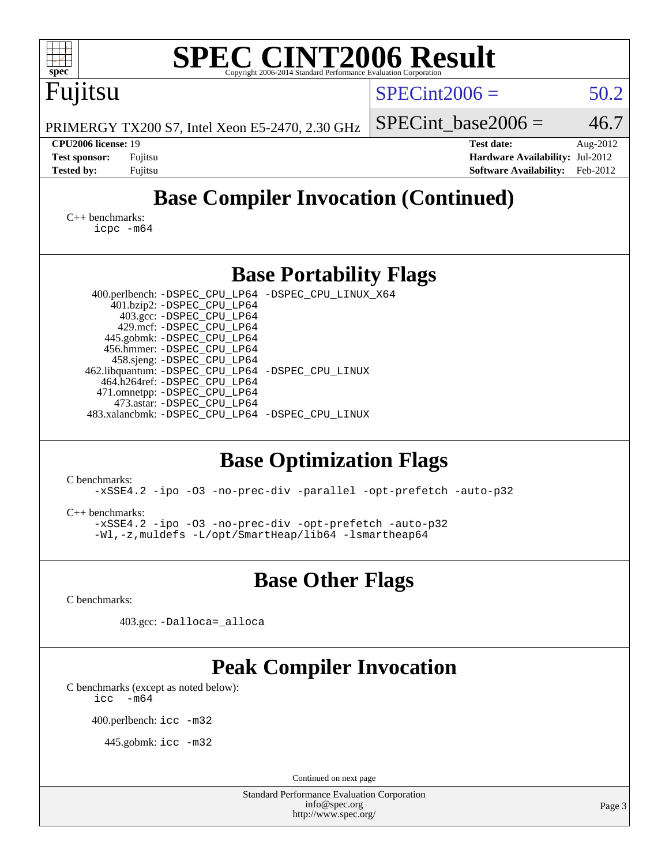| <b>SPEC CINT2006 Result</b><br>$spec^*$<br>Copyright 2006-2014 Standard Performance Evaluation Corporation                                                                                                                                                                                                                                                                                                                                                                                                                                                                                                                                                                                              |                                                                                       |                      |
|---------------------------------------------------------------------------------------------------------------------------------------------------------------------------------------------------------------------------------------------------------------------------------------------------------------------------------------------------------------------------------------------------------------------------------------------------------------------------------------------------------------------------------------------------------------------------------------------------------------------------------------------------------------------------------------------------------|---------------------------------------------------------------------------------------|----------------------|
| Fujitsu                                                                                                                                                                                                                                                                                                                                                                                                                                                                                                                                                                                                                                                                                                 | $SPECint2006 =$                                                                       | 50.2                 |
| PRIMERGY TX200 S7, Intel Xeon E5-2470, 2.30 GHz                                                                                                                                                                                                                                                                                                                                                                                                                                                                                                                                                                                                                                                         | $SPECint$ base2006 =                                                                  | 46.7                 |
| CPU2006 license: 19<br><b>Test sponsor:</b><br>Fujitsu<br><b>Tested by:</b><br>Fujitsu                                                                                                                                                                                                                                                                                                                                                                                                                                                                                                                                                                                                                  | <b>Test date:</b><br>Hardware Availability: Jul-2012<br><b>Software Availability:</b> | Aug-2012<br>Feb-2012 |
| <b>Base Compiler Invocation (Continued)</b>                                                                                                                                                                                                                                                                                                                                                                                                                                                                                                                                                                                                                                                             |                                                                                       |                      |
| $C_{++}$ benchmarks:<br>$icpc$ $-m64$                                                                                                                                                                                                                                                                                                                                                                                                                                                                                                                                                                                                                                                                   |                                                                                       |                      |
| <b>Base Portability Flags</b>                                                                                                                                                                                                                                                                                                                                                                                                                                                                                                                                                                                                                                                                           |                                                                                       |                      |
| 400.perlbench: -DSPEC_CPU_LP64 -DSPEC_CPU_LINUX_X64<br>401.bzip2: -DSPEC_CPU_LP64<br>403.gcc: -DSPEC_CPU_LP64<br>429.mcf: -DSPEC_CPU_LP64<br>445.gobmk: -DSPEC_CPU_LP64<br>456.hmmer: -DSPEC_CPU_LP64<br>458.sjeng: -DSPEC_CPU_LP64<br>462.libquantum: - DSPEC_CPU_LP64 - DSPEC_CPU_LINUX<br>464.h264ref: -DSPEC_CPU_LP64<br>471.omnetpp: -DSPEC_CPU_LP64<br>473.astar: - DSPEC_CPU_LP64<br>483.xalancbmk: -DSPEC_CPU_LP64 -DSPEC_CPU_LINUX<br><b>Base Optimization Flags</b><br>C benchmarks:<br>-xSSE4.2 -ipo -03 -no-prec-div -parallel -opt-prefetch -auto-p32<br>C++ benchmarks:<br>-xSSE4.2 -ipo -03 -no-prec-div -opt-prefetch -auto-p32<br>-Wl,-z, muldefs -L/opt/SmartHeap/lib64 -lsmartheap64 |                                                                                       |                      |
| <b>Base Other Flags</b>                                                                                                                                                                                                                                                                                                                                                                                                                                                                                                                                                                                                                                                                                 |                                                                                       |                      |
| C benchmarks:                                                                                                                                                                                                                                                                                                                                                                                                                                                                                                                                                                                                                                                                                           |                                                                                       |                      |
| 403.gcc: -Dalloca=_alloca                                                                                                                                                                                                                                                                                                                                                                                                                                                                                                                                                                                                                                                                               |                                                                                       |                      |
| <b>Peak Compiler Invocation</b><br>C benchmarks (except as noted below):<br>$-m64$<br>icc<br>400.perlbench: icc -m32<br>445.gobmk: icc -m32                                                                                                                                                                                                                                                                                                                                                                                                                                                                                                                                                             |                                                                                       |                      |
|                                                                                                                                                                                                                                                                                                                                                                                                                                                                                                                                                                                                                                                                                                         |                                                                                       |                      |
| Continued on next page<br><b>Standard Performance Evaluation Corporation</b><br>info@spec.org<br>http://www.spec.org/                                                                                                                                                                                                                                                                                                                                                                                                                                                                                                                                                                                   |                                                                                       | Page 3               |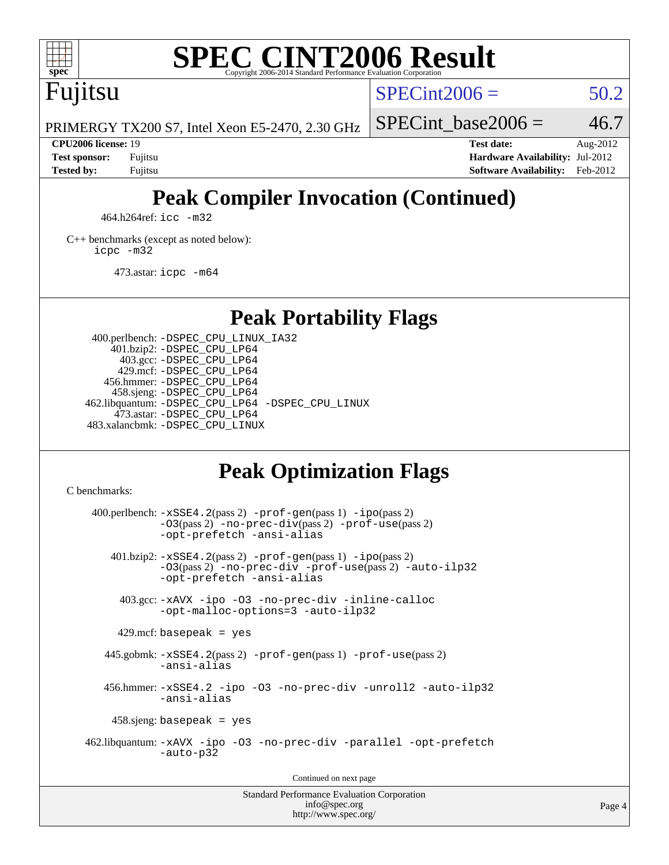

# **[SPEC CINT2006 Result](http://www.spec.org/auto/cpu2006/Docs/result-fields.html#SPECCINT2006Result)**

Fujitsu

 $SPECint2006 = 50.2$  $SPECint2006 = 50.2$ 

PRIMERGY TX200 S7, Intel Xeon E5-2470, 2.30 GHz

SPECint base2006 =  $46.7$ **[CPU2006 license:](http://www.spec.org/auto/cpu2006/Docs/result-fields.html#CPU2006license)** 19 **[Test date:](http://www.spec.org/auto/cpu2006/Docs/result-fields.html#Testdate)** Aug-2012

**[Test sponsor:](http://www.spec.org/auto/cpu2006/Docs/result-fields.html#Testsponsor)** Fujitsu **[Hardware Availability:](http://www.spec.org/auto/cpu2006/Docs/result-fields.html#HardwareAvailability)** Jul-2012 **[Tested by:](http://www.spec.org/auto/cpu2006/Docs/result-fields.html#Testedby)** Fujitsu **[Software Availability:](http://www.spec.org/auto/cpu2006/Docs/result-fields.html#SoftwareAvailability)** Feb-2012

# **[Peak Compiler Invocation \(Continued\)](http://www.spec.org/auto/cpu2006/Docs/result-fields.html#PeakCompilerInvocation)**

464.h264ref: [icc -m32](http://www.spec.org/cpu2006/results/res2012q3/cpu2006-20120810-24133.flags.html#user_peakCCLD464_h264ref_intel_icc_a6a621f8d50482236b970c6ac5f55f93)

[C++ benchmarks \(except as noted below\):](http://www.spec.org/auto/cpu2006/Docs/result-fields.html#CXXbenchmarksexceptasnotedbelow) [icpc -m32](http://www.spec.org/cpu2006/results/res2012q3/cpu2006-20120810-24133.flags.html#user_CXXpeak_intel_icpc_4e5a5ef1a53fd332b3c49e69c3330699)

473.astar: [icpc -m64](http://www.spec.org/cpu2006/results/res2012q3/cpu2006-20120810-24133.flags.html#user_peakCXXLD473_astar_intel_icpc_64bit_fc66a5337ce925472a5c54ad6a0de310)

**[Peak Portability Flags](http://www.spec.org/auto/cpu2006/Docs/result-fields.html#PeakPortabilityFlags)**

 400.perlbench: [-DSPEC\\_CPU\\_LINUX\\_IA32](http://www.spec.org/cpu2006/results/res2012q3/cpu2006-20120810-24133.flags.html#b400.perlbench_peakCPORTABILITY_DSPEC_CPU_LINUX_IA32) 401.bzip2: [-DSPEC\\_CPU\\_LP64](http://www.spec.org/cpu2006/results/res2012q3/cpu2006-20120810-24133.flags.html#suite_peakPORTABILITY401_bzip2_DSPEC_CPU_LP64) 403.gcc: [-DSPEC\\_CPU\\_LP64](http://www.spec.org/cpu2006/results/res2012q3/cpu2006-20120810-24133.flags.html#suite_peakPORTABILITY403_gcc_DSPEC_CPU_LP64) 429.mcf: [-DSPEC\\_CPU\\_LP64](http://www.spec.org/cpu2006/results/res2012q3/cpu2006-20120810-24133.flags.html#suite_peakPORTABILITY429_mcf_DSPEC_CPU_LP64) 456.hmmer: [-DSPEC\\_CPU\\_LP64](http://www.spec.org/cpu2006/results/res2012q3/cpu2006-20120810-24133.flags.html#suite_peakPORTABILITY456_hmmer_DSPEC_CPU_LP64) 458.sjeng: [-DSPEC\\_CPU\\_LP64](http://www.spec.org/cpu2006/results/res2012q3/cpu2006-20120810-24133.flags.html#suite_peakPORTABILITY458_sjeng_DSPEC_CPU_LP64) 462.libquantum: [-DSPEC\\_CPU\\_LP64](http://www.spec.org/cpu2006/results/res2012q3/cpu2006-20120810-24133.flags.html#suite_peakPORTABILITY462_libquantum_DSPEC_CPU_LP64) [-DSPEC\\_CPU\\_LINUX](http://www.spec.org/cpu2006/results/res2012q3/cpu2006-20120810-24133.flags.html#b462.libquantum_peakCPORTABILITY_DSPEC_CPU_LINUX) 473.astar: [-DSPEC\\_CPU\\_LP64](http://www.spec.org/cpu2006/results/res2012q3/cpu2006-20120810-24133.flags.html#suite_peakPORTABILITY473_astar_DSPEC_CPU_LP64) 483.xalancbmk: [-DSPEC\\_CPU\\_LINUX](http://www.spec.org/cpu2006/results/res2012q3/cpu2006-20120810-24133.flags.html#b483.xalancbmk_peakCXXPORTABILITY_DSPEC_CPU_LINUX)

# **[Peak Optimization Flags](http://www.spec.org/auto/cpu2006/Docs/result-fields.html#PeakOptimizationFlags)**

[C benchmarks](http://www.spec.org/auto/cpu2006/Docs/result-fields.html#Cbenchmarks):

 $400.$ perlbench:  $-xSSE4$ .  $2(pass 2)$  -prof-qen(pass 1) [-ipo](http://www.spec.org/cpu2006/results/res2012q3/cpu2006-20120810-24133.flags.html#user_peakPASS2_CFLAGSPASS2_LDCFLAGS400_perlbench_f-ipo)(pass 2) [-O3](http://www.spec.org/cpu2006/results/res2012q3/cpu2006-20120810-24133.flags.html#user_peakPASS2_CFLAGSPASS2_LDCFLAGS400_perlbench_f-O3)(pass 2) [-no-prec-div](http://www.spec.org/cpu2006/results/res2012q3/cpu2006-20120810-24133.flags.html#user_peakPASS2_CFLAGSPASS2_LDCFLAGS400_perlbench_f-no-prec-div)(pass 2) [-prof-use](http://www.spec.org/cpu2006/results/res2012q3/cpu2006-20120810-24133.flags.html#user_peakPASS2_CFLAGSPASS2_LDCFLAGS400_perlbench_prof_use_bccf7792157ff70d64e32fe3e1250b55)(pass 2) [-opt-prefetch](http://www.spec.org/cpu2006/results/res2012q3/cpu2006-20120810-24133.flags.html#user_peakCOPTIMIZE400_perlbench_f-opt-prefetch) [-ansi-alias](http://www.spec.org/cpu2006/results/res2012q3/cpu2006-20120810-24133.flags.html#user_peakCOPTIMIZE400_perlbench_f-ansi-alias) 401.bzip2: [-xSSE4.2](http://www.spec.org/cpu2006/results/res2012q3/cpu2006-20120810-24133.flags.html#user_peakPASS2_CFLAGSPASS2_LDCFLAGS401_bzip2_f-xSSE42_f91528193cf0b216347adb8b939d4107)(pass 2) [-prof-gen](http://www.spec.org/cpu2006/results/res2012q3/cpu2006-20120810-24133.flags.html#user_peakPASS1_CFLAGSPASS1_LDCFLAGS401_bzip2_prof_gen_e43856698f6ca7b7e442dfd80e94a8fc)(pass 1) [-ipo](http://www.spec.org/cpu2006/results/res2012q3/cpu2006-20120810-24133.flags.html#user_peakPASS2_CFLAGSPASS2_LDCFLAGS401_bzip2_f-ipo)(pass 2) [-O3](http://www.spec.org/cpu2006/results/res2012q3/cpu2006-20120810-24133.flags.html#user_peakPASS2_CFLAGSPASS2_LDCFLAGS401_bzip2_f-O3)(pass 2) [-no-prec-div](http://www.spec.org/cpu2006/results/res2012q3/cpu2006-20120810-24133.flags.html#user_peakCOPTIMIZEPASS2_CFLAGSPASS2_LDCFLAGS401_bzip2_f-no-prec-div) [-prof-use](http://www.spec.org/cpu2006/results/res2012q3/cpu2006-20120810-24133.flags.html#user_peakPASS2_CFLAGSPASS2_LDCFLAGS401_bzip2_prof_use_bccf7792157ff70d64e32fe3e1250b55)(pass 2) [-auto-ilp32](http://www.spec.org/cpu2006/results/res2012q3/cpu2006-20120810-24133.flags.html#user_peakCOPTIMIZE401_bzip2_f-auto-ilp32) [-opt-prefetch](http://www.spec.org/cpu2006/results/res2012q3/cpu2006-20120810-24133.flags.html#user_peakCOPTIMIZE401_bzip2_f-opt-prefetch) [-ansi-alias](http://www.spec.org/cpu2006/results/res2012q3/cpu2006-20120810-24133.flags.html#user_peakCOPTIMIZE401_bzip2_f-ansi-alias) 403.gcc: [-xAVX](http://www.spec.org/cpu2006/results/res2012q3/cpu2006-20120810-24133.flags.html#user_peakCOPTIMIZE403_gcc_f-xAVX) [-ipo](http://www.spec.org/cpu2006/results/res2012q3/cpu2006-20120810-24133.flags.html#user_peakCOPTIMIZE403_gcc_f-ipo) [-O3](http://www.spec.org/cpu2006/results/res2012q3/cpu2006-20120810-24133.flags.html#user_peakCOPTIMIZE403_gcc_f-O3) [-no-prec-div](http://www.spec.org/cpu2006/results/res2012q3/cpu2006-20120810-24133.flags.html#user_peakCOPTIMIZE403_gcc_f-no-prec-div) [-inline-calloc](http://www.spec.org/cpu2006/results/res2012q3/cpu2006-20120810-24133.flags.html#user_peakCOPTIMIZE403_gcc_f-inline-calloc) [-opt-malloc-options=3](http://www.spec.org/cpu2006/results/res2012q3/cpu2006-20120810-24133.flags.html#user_peakCOPTIMIZE403_gcc_f-opt-malloc-options_13ab9b803cf986b4ee62f0a5998c2238) [-auto-ilp32](http://www.spec.org/cpu2006/results/res2012q3/cpu2006-20120810-24133.flags.html#user_peakCOPTIMIZE403_gcc_f-auto-ilp32)  $429$ .mcf: basepeak = yes 445.gobmk: [-xSSE4.2](http://www.spec.org/cpu2006/results/res2012q3/cpu2006-20120810-24133.flags.html#user_peakPASS2_CFLAGSPASS2_LDCFLAGS445_gobmk_f-xSSE42_f91528193cf0b216347adb8b939d4107)(pass 2) [-prof-gen](http://www.spec.org/cpu2006/results/res2012q3/cpu2006-20120810-24133.flags.html#user_peakPASS1_CFLAGSPASS1_LDCFLAGS445_gobmk_prof_gen_e43856698f6ca7b7e442dfd80e94a8fc)(pass 1) [-prof-use](http://www.spec.org/cpu2006/results/res2012q3/cpu2006-20120810-24133.flags.html#user_peakPASS2_CFLAGSPASS2_LDCFLAGS445_gobmk_prof_use_bccf7792157ff70d64e32fe3e1250b55)(pass 2) [-ansi-alias](http://www.spec.org/cpu2006/results/res2012q3/cpu2006-20120810-24133.flags.html#user_peakCOPTIMIZE445_gobmk_f-ansi-alias) 456.hmmer: [-xSSE4.2](http://www.spec.org/cpu2006/results/res2012q3/cpu2006-20120810-24133.flags.html#user_peakCOPTIMIZE456_hmmer_f-xSSE42_f91528193cf0b216347adb8b939d4107) [-ipo](http://www.spec.org/cpu2006/results/res2012q3/cpu2006-20120810-24133.flags.html#user_peakCOPTIMIZE456_hmmer_f-ipo) [-O3](http://www.spec.org/cpu2006/results/res2012q3/cpu2006-20120810-24133.flags.html#user_peakCOPTIMIZE456_hmmer_f-O3) [-no-prec-div](http://www.spec.org/cpu2006/results/res2012q3/cpu2006-20120810-24133.flags.html#user_peakCOPTIMIZE456_hmmer_f-no-prec-div) [-unroll2](http://www.spec.org/cpu2006/results/res2012q3/cpu2006-20120810-24133.flags.html#user_peakCOPTIMIZE456_hmmer_f-unroll_784dae83bebfb236979b41d2422d7ec2) [-auto-ilp32](http://www.spec.org/cpu2006/results/res2012q3/cpu2006-20120810-24133.flags.html#user_peakCOPTIMIZE456_hmmer_f-auto-ilp32) [-ansi-alias](http://www.spec.org/cpu2006/results/res2012q3/cpu2006-20120810-24133.flags.html#user_peakCOPTIMIZE456_hmmer_f-ansi-alias) 458.sjeng: basepeak = yes 462.libquantum: [-xAVX](http://www.spec.org/cpu2006/results/res2012q3/cpu2006-20120810-24133.flags.html#user_peakCOPTIMIZE462_libquantum_f-xAVX) [-ipo](http://www.spec.org/cpu2006/results/res2012q3/cpu2006-20120810-24133.flags.html#user_peakCOPTIMIZE462_libquantum_f-ipo) [-O3](http://www.spec.org/cpu2006/results/res2012q3/cpu2006-20120810-24133.flags.html#user_peakCOPTIMIZE462_libquantum_f-O3) [-no-prec-div](http://www.spec.org/cpu2006/results/res2012q3/cpu2006-20120810-24133.flags.html#user_peakCOPTIMIZE462_libquantum_f-no-prec-div) [-parallel](http://www.spec.org/cpu2006/results/res2012q3/cpu2006-20120810-24133.flags.html#user_peakCOPTIMIZE462_libquantum_f-parallel) [-opt-prefetch](http://www.spec.org/cpu2006/results/res2012q3/cpu2006-20120810-24133.flags.html#user_peakCOPTIMIZE462_libquantum_f-opt-prefetch) [-auto-p32](http://www.spec.org/cpu2006/results/res2012q3/cpu2006-20120810-24133.flags.html#user_peakCOPTIMIZE462_libquantum_f-auto-p32) Continued on next page

Standard Performance Evaluation Corporation [info@spec.org](mailto:info@spec.org) <http://www.spec.org/>